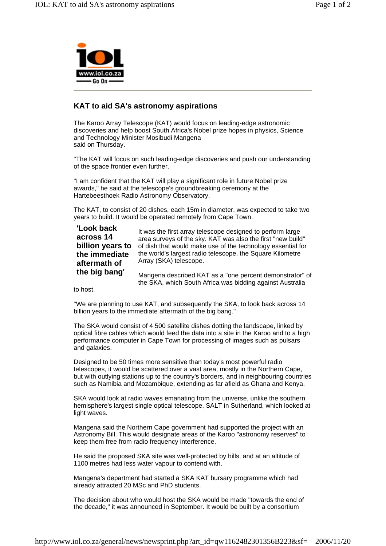

## **KAT to aid SA's astronomy aspirations**

The Karoo Array Telescope (KAT) would focus on leading-edge astronomic discoveries and help boost South Africa's Nobel prize hopes in physics, Science and Technology Minister Mosibudi Mangena said on Thursday.

"The KAT will focus on such leading-edge discoveries and push our understanding of the space frontier even further.

"I am confident that the KAT will play a significant role in future Nobel prize awards," he said at the telescope's groundbreaking ceremony at the Hartebeesthoek Radio Astronomy Observatory.

The KAT, to consist of 20 dishes, each 15m in diameter, was expected to take two years to build. It would be operated remotely from Cape Town.

## **'Look back across 14 billion years to the immediate aftermath of the big bang'**

It was the first array telescope designed to perform large area surveys of the sky. KAT was also the first "new build" of dish that would make use of the technology essential for the world's largest radio telescope, the Square Kilometre Array (SKA) telescope.

Mangena described KAT as a "one percent demonstrator" of the SKA, which South Africa was bidding against Australia

to host.

"We are planning to use KAT, and subsequently the SKA, to look back across 14 billion years to the immediate aftermath of the big bang."

The SKA would consist of 4 500 satellite dishes dotting the landscape, linked by optical fibre cables which would feed the data into a site in the Karoo and to a high performance computer in Cape Town for processing of images such as pulsars and galaxies.

Designed to be 50 times more sensitive than today's most powerful radio telescopes, it would be scattered over a vast area, mostly in the Northern Cape, but with outlying stations up to the country's borders, and in neighbouring countries such as Namibia and Mozambique, extending as far afield as Ghana and Kenya.

SKA would look at radio waves emanating from the universe, unlike the southern hemisphere's largest single optical telescope, SALT in Sutherland, which looked at light waves.

Mangena said the Northern Cape government had supported the project with an Astronomy Bill. This would designate areas of the Karoo "astronomy reserves" to keep them free from radio frequency interference.

He said the proposed SKA site was well-protected by hills, and at an altitude of 1100 metres had less water vapour to contend with.

Mangena's department had started a SKA KAT bursary programme which had already attracted 20 MSc and PhD students.

The decision about who would host the SKA would be made "towards the end of the decade," it was announced in September. It would be built by a consortium